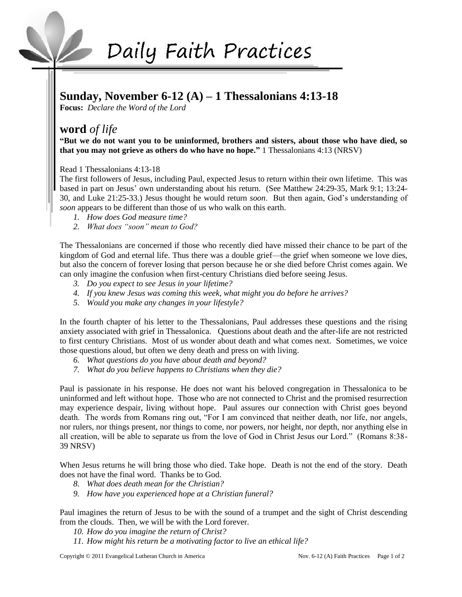# Daily Faith Practices

## **Sunday, November 6-12 (A) – 1 Thessalonians 4:13-18**

**Focus:** *Declare the Word of the Lord*

# **word** *of life*

**"But we do not want you to be uninformed, brothers and sisters, about those who have died, so that you may not grieve as others do who have no hope."** 1 Thessalonians 4:13 (NRSV)

Read 1 Thessalonians 4:13-18

The first followers of Jesus, including Paul, expected Jesus to return within their own lifetime. This was based in part on Jesus' own understanding about his return. (See Matthew 24:29-35, Mark 9:1; 13:24- 30, and Luke 21:25-33.) Jesus thought he would return *soon*. But then again, God's understanding of *soon* appears to be different than those of us who walk on this earth.

- *1. How does God measure time?*
- *2. What does "soon" mean to God?*

The Thessalonians are concerned if those who recently died have missed their chance to be part of the kingdom of God and eternal life. Thus there was a double grief—the grief when someone we love dies, but also the concern of forever losing that person because he or she died before Christ comes again. We can only imagine the confusion when first-century Christians died before seeing Jesus.

- *3. Do you expect to see Jesus in your lifetime?*
- *4. If you knew Jesus was coming this week, what might you do before he arrives?*
- *5. Would you make any changes in your lifestyle?*

In the fourth chapter of his letter to the Thessalonians, Paul addresses these questions and the rising anxiety associated with grief in Thessalonica. Questions about death and the after-life are not restricted to first century Christians. Most of us wonder about death and what comes next. Sometimes, we voice those questions aloud, but often we deny death and press on with living.

- *6. What questions do you have about death and beyond?*
- *7. What do you believe happens to Christians when they die?*

Paul is passionate in his response. He does not want his beloved congregation in Thessalonica to be uninformed and left without hope. Those who are not connected to Christ and the promised resurrection may experience despair, living without hope. Paul assures our connection with Christ goes beyond death. The words from Romans ring out, "For I am convinced that neither death, nor life, nor angels, nor rulers, nor things present, nor things to come, nor powers, nor height, nor depth, nor anything else in all creation, will be able to separate us from the love of God in Christ Jesus our Lord." (Romans 8:38- 39 NRSV)

When Jesus returns he will bring those who died. Take hope. Death is not the end of the story. Death does not have the final word. Thanks be to God.

- *8. What does death mean for the Christian?*
- *9. How have you experienced hope at a Christian funeral?*

Paul imagines the return of Jesus to be with the sound of a trumpet and the sight of Christ descending from the clouds. Then, we will be with the Lord forever.

- *10. How do you imagine the return of Christ?*
- *11. How might his return be a motivating factor to live an ethical life?*